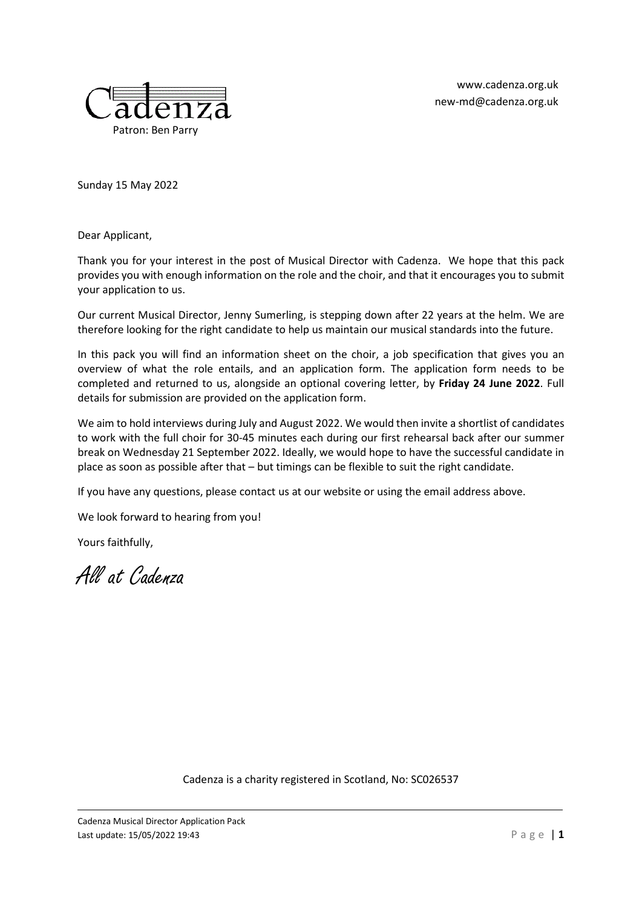[www.cadenza.org.uk](https://www.cadenza.org.uk/) [new-md@cadenza.org.uk](mailto:new-md@cadenza.org.uk)



Sunday 15 May 2022

Dear Applicant,

Thank you for your interest in the post of Musical Director with Cadenza. We hope that this pack provides you with enough information on the role and the choir, and that it encourages you to submit your application to us.

Our current Musical Director, Jenny Sumerling, is stepping down after 22 years at the helm. We are therefore looking for the right candidate to help us maintain our musical standards into the future.

In this pack you will find an information sheet on the choir, a job specification that gives you an overview of what the role entails, and an application form. The application form needs to be completed and returned to us, alongside an optional covering letter, by **Friday 24 June 2022**. Full details for submission are provided on the application form.

We aim to hold interviews during July and August 2022. We would then invite a shortlist of candidates to work with the full choir for 30-45 minutes each during our first rehearsal back after our summer break on Wednesday 21 September 2022. Ideally, we would hope to have the successful candidate in place as soon as possible after that – but timings can be flexible to suit the right candidate.

If you have any questions, please contact us at our website or using the email address above.

We look forward to hearing from you!

Yours faithfully,

All at Cadenza

Cadenza is a charity registered in Scotland, No: SC026537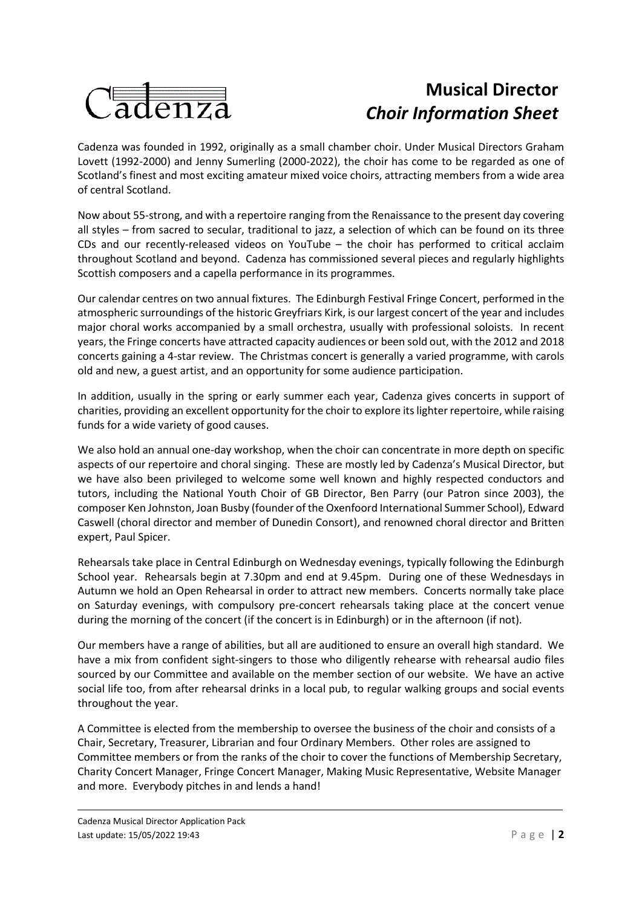

# **Musical Director** *Choir Information Sheet*

Cadenza was founded in 1992, originally as a small chamber choir. Under Musical Directors Graham Lovett (1992-2000) and Jenny Sumerling (2000-2022), the choir has come to be regarded as one of Scotland's finest and most exciting amateur mixed voice choirs, attracting members from a wide area of central Scotland.

Now about 55-strong, and with a repertoire ranging from the Renaissance to the present day covering all styles – from sacred to secular, traditional to jazz, a selection of which can be found on its three CDs and our recently-released videos on YouTube – the choir has performed to critical acclaim throughout Scotland and beyond. Cadenza has commissioned several pieces and regularly highlights Scottish composers and a capella performance in its programmes.

Our calendar centres on two annual fixtures. The Edinburgh Festival Fringe Concert, performed in the atmospheric surroundings of the historic Greyfriars Kirk, is our largest concert of the year and includes major choral works accompanied by a small orchestra, usually with professional soloists. In recent years, the Fringe concerts have attracted capacity audiences or been sold out, with the 2012 and 2018 concerts gaining a 4-star review. The Christmas concert is generally a varied programme, with carols old and new, a guest artist, and an opportunity for some audience participation.

In addition, usually in the spring or early summer each year, Cadenza gives concerts in support of charities, providing an excellent opportunity for the choir to explore its lighter repertoire, while raising funds for a wide variety of good causes.

We also hold an annual one-day workshop, when the choir can concentrate in more depth on specific aspects of our repertoire and choral singing. These are mostly led by Cadenza's Musical Director, but we have also been privileged to welcome some well known and highly respected conductors and tutors, including the National Youth Choir of GB Director, Ben Parry (our Patron since 2003), the composer Ken Johnston, Joan Busby (founder of the Oxenfoord International Summer School), Edward Caswell (choral director and member of Dunedin Consort), and renowned choral director and Britten expert, Paul Spicer.

Rehearsals take place in Central Edinburgh on Wednesday evenings, typically following the Edinburgh School year. Rehearsals begin at 7.30pm and end at 9.45pm. During one of these Wednesdays in Autumn we hold an Open Rehearsal in order to attract new members. Concerts normally take place on Saturday evenings, with compulsory pre-concert rehearsals taking place at the concert venue during the morning of the concert (if the concert is in Edinburgh) or in the afternoon (if not).

Our members have a range of abilities, but all are auditioned to ensure an overall high standard. We have a mix from confident sight-singers to those who diligently rehearse with rehearsal audio files sourced by our Committee and available on the member section of our website. We have an active social life too, from after rehearsal drinks in a local pub, to regular walking groups and social events throughout the year.

A Committee is elected from the membership to oversee the business of the choir and consists of a Chair, Secretary, Treasurer, Librarian and four Ordinary Members. Other roles are assigned to Committee members or from the ranks of the choir to cover the functions of Membership Secretary, Charity Concert Manager, Fringe Concert Manager, Making Music Representative, Website Manager and more. Everybody pitches in and lends a hand!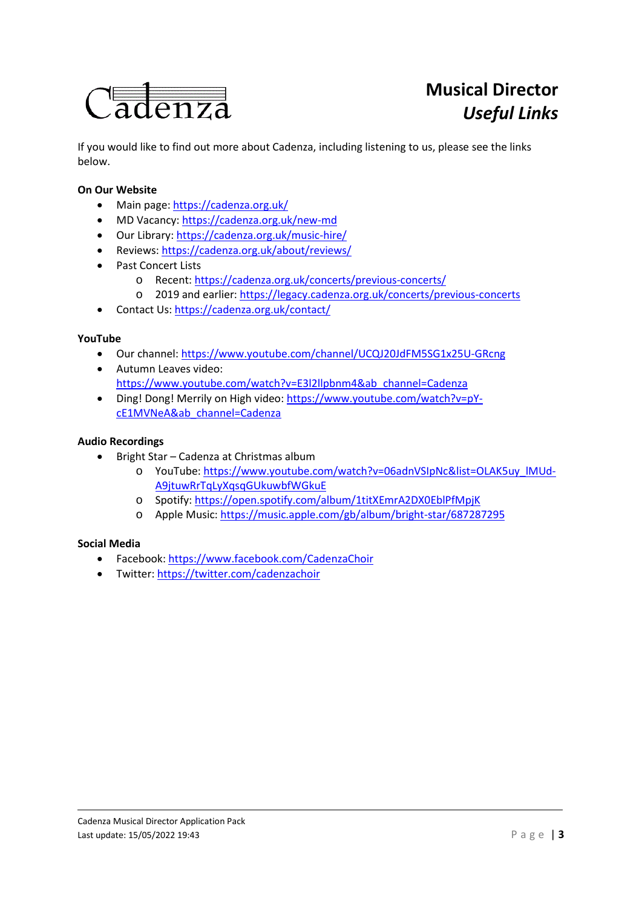

If you would like to find out more about Cadenza, including listening to us, please see the links below.

## **On Our Website**

- Main page[: https://cadenza.org.uk/](https://cadenza.org.uk/)
- MD Vacancy:<https://cadenza.org.uk/new-md>
- Our Library[: https://cadenza.org.uk/music-hire/](https://cadenza.org.uk/music-hire/)
- Reviews:<https://cadenza.org.uk/about/reviews/>
- Past Concert Lists
	- o Recent[: https://cadenza.org.uk/concerts/previous-concerts/](https://cadenza.org.uk/concerts/previous-concerts/)
	- o 2019 and earlier[: https://legacy.cadenza.org.uk/concerts/previous-concerts](https://legacy.cadenza.org.uk/concerts/previous-concerts)
- Contact Us:<https://cadenza.org.uk/contact/>

#### **YouTube**

- Our channel:<https://www.youtube.com/channel/UCQJ20JdFM5SG1x25U-GRcng>
- Autumn Leaves video: [https://www.youtube.com/watch?v=E3l2llpbnm4&ab\\_channel=Cadenza](https://www.youtube.com/watch?v=E3l2llpbnm4&ab_channel=Cadenza)
- Ding! Dong! Merrily on High video: [https://www.youtube.com/watch?v=pY](https://www.youtube.com/watch?v=pY-cE1MVNeA&ab_channel=Cadenza)[cE1MVNeA&ab\\_channel=Cadenza](https://www.youtube.com/watch?v=pY-cE1MVNeA&ab_channel=Cadenza)

### **Audio Recordings**

- Bright Star Cadenza at Christmas album
	- o YouTube: [https://www.youtube.com/watch?v=06adnVSIpNc&list=OLAK5uy\\_lMUd-](https://www.youtube.com/watch?v=06adnVSIpNc&list=OLAK5uy_lMUd-A9jtuwRrTqLyXqsqGUkuwbfWGkuE)[A9jtuwRrTqLyXqsqGUkuwbfWGkuE](https://www.youtube.com/watch?v=06adnVSIpNc&list=OLAK5uy_lMUd-A9jtuwRrTqLyXqsqGUkuwbfWGkuE)
	- o Spotify[: https://open.spotify.com/album/1titXEmrA2DX0EblPfMpjK](https://open.spotify.com/album/1titXEmrA2DX0EblPfMpjK)
	- o Apple Music[: https://music.apple.com/gb/album/bright-star/687287295](https://music.apple.com/gb/album/bright-star/687287295)

#### **Social Media**

- Facebook:<https://www.facebook.com/CadenzaChoir>
- Twitter:<https://twitter.com/cadenzachoir>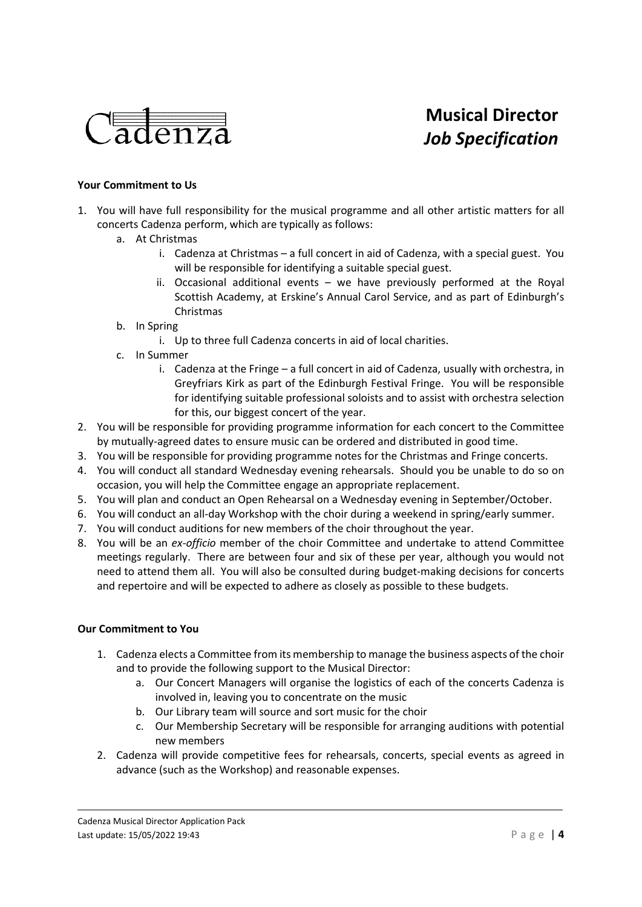

# **Musical Director** *Job Specification*

### **Your Commitment to Us**

- 1. You will have full responsibility for the musical programme and all other artistic matters for all concerts Cadenza perform, which are typically as follows:
	- a. At Christmas
		- i. Cadenza at Christmas a full concert in aid of Cadenza, with a special guest. You will be responsible for identifying a suitable special guest.
		- ii. Occasional additional events we have previously performed at the Royal Scottish Academy, at Erskine's Annual Carol Service, and as part of Edinburgh's Christmas
	- b. In Spring
		- i. Up to three full Cadenza concerts in aid of local charities.
	- c. In Summer
		- i. Cadenza at the Fringe a full concert in aid of Cadenza, usually with orchestra, in Greyfriars Kirk as part of the Edinburgh Festival Fringe. You will be responsible for identifying suitable professional soloists and to assist with orchestra selection for this, our biggest concert of the year.
- 2. You will be responsible for providing programme information for each concert to the Committee by mutually-agreed dates to ensure music can be ordered and distributed in good time.
- 3. You will be responsible for providing programme notes for the Christmas and Fringe concerts.
- 4. You will conduct all standard Wednesday evening rehearsals. Should you be unable to do so on occasion, you will help the Committee engage an appropriate replacement.
- 5. You will plan and conduct an Open Rehearsal on a Wednesday evening in September/October.
- 6. You will conduct an all-day Workshop with the choir during a weekend in spring/early summer.
- 7. You will conduct auditions for new members of the choir throughout the year.
- 8. You will be an *ex-officio* member of the choir Committee and undertake to attend Committee meetings regularly. There are between four and six of these per year, although you would not need to attend them all. You will also be consulted during budget-making decisions for concerts and repertoire and will be expected to adhere as closely as possible to these budgets.

#### **Our Commitment to You**

- 1. Cadenza elects a Committee from its membership to manage the business aspects of the choir and to provide the following support to the Musical Director:
	- a. Our Concert Managers will organise the logistics of each of the concerts Cadenza is involved in, leaving you to concentrate on the music
	- b. Our Library team will source and sort music for the choir
	- c. Our Membership Secretary will be responsible for arranging auditions with potential new members
- 2. Cadenza will provide competitive fees for rehearsals, concerts, special events as agreed in advance (such as the Workshop) and reasonable expenses.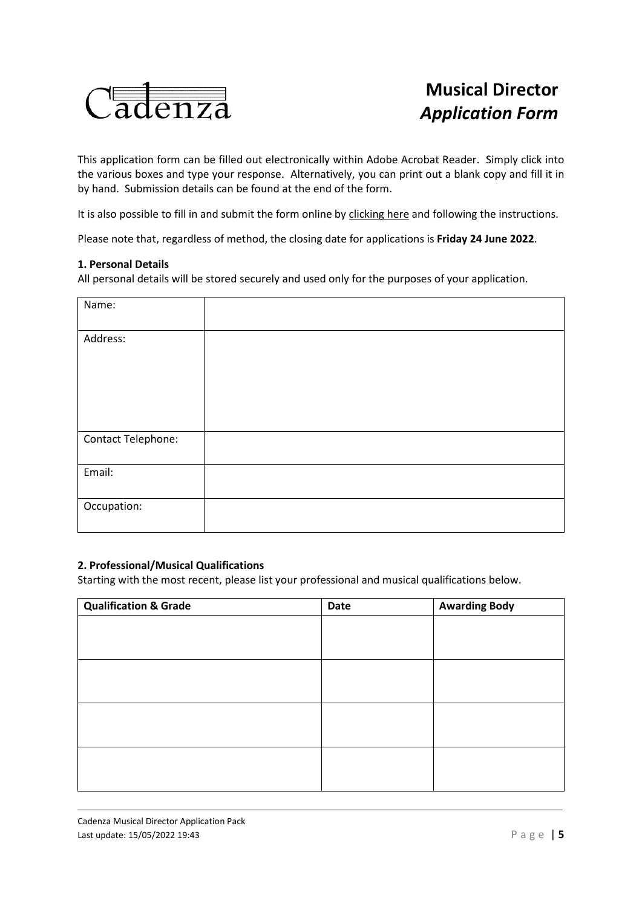

# **Musical Director** *Application Form*

This application form can be filled out electronically within Adobe Acrobat Reader. Simply click into the various boxes and type your response. Alternatively, you can print out a blank copy and fill it in by hand. Submission details can be found at the end of the form.

It is also possible to fill in and submit the form online by [clicking here](https://forms.gle/YxrrtE9NV8Y4kPKe9) and following the instructions.

Please note that, regardless of method, the closing date for applications is **Friday 24 June 2022**.

#### **1. Personal Details**

All personal details will be stored securely and used only for the purposes of your application.

| Name:              |  |
|--------------------|--|
| Address:           |  |
|                    |  |
|                    |  |
|                    |  |
| Contact Telephone: |  |
| Email:             |  |
| Occupation:        |  |

#### **2. Professional/Musical Qualifications**

Starting with the most recent, please list your professional and musical qualifications below.

| <b>Qualification &amp; Grade</b> | Date | <b>Awarding Body</b> |
|----------------------------------|------|----------------------|
|                                  |      |                      |
|                                  |      |                      |
|                                  |      |                      |
|                                  |      |                      |
|                                  |      |                      |
|                                  |      |                      |
|                                  |      |                      |
|                                  |      |                      |
|                                  |      |                      |
|                                  |      |                      |
|                                  |      |                      |
|                                  |      |                      |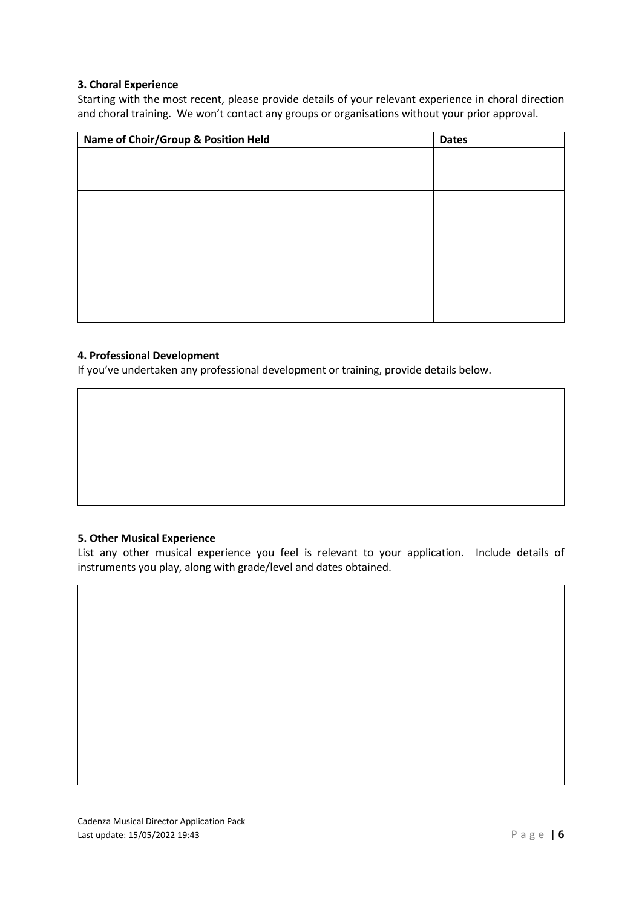## **3. Choral Experience**

Starting with the most recent, please provide details of your relevant experience in choral direction and choral training. We won't contact any groups or organisations without your prior approval.

| Name of Choir/Group & Position Held | <b>Dates</b> |
|-------------------------------------|--------------|
|                                     |              |
|                                     |              |
|                                     |              |
|                                     |              |
|                                     |              |
|                                     |              |
|                                     |              |
|                                     |              |
|                                     |              |
|                                     |              |
|                                     |              |
|                                     |              |

## **4. Professional Development**

If you've undertaken any professional development or training, provide details below.

## **5. Other Musical Experience**

List any other musical experience you feel is relevant to your application. Include details of instruments you play, along with grade/level and dates obtained.